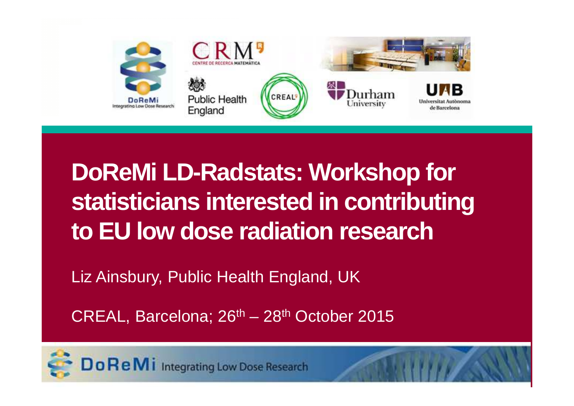

## **DoReMi LD-Radstats: Workshop for statisticians interested in contributing to EU low dose radiation research**

Liz Ainsbury, Public Health England, UK

CREAL, Barcelona;  $26<sup>th</sup> - 28<sup>th</sup>$  October 2015



Do Re Mi Integrating Low Dose Research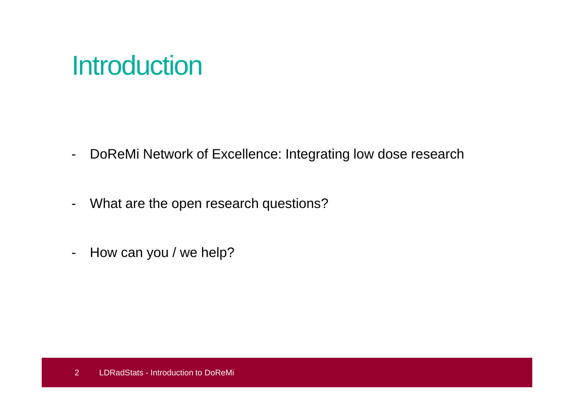### **Introduction**

- -DoReMi Network of Excellence: Integrating low dose research
- -What are the open research questions?
- -How can you / we help?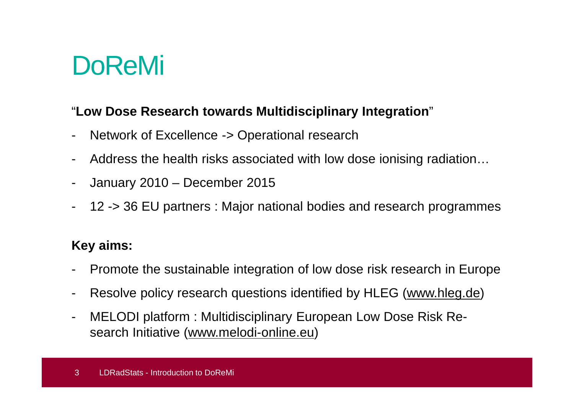## DoReMi

#### "**Low Dose Research towards Multidisciplinary Integration**"

- -Network of Excellence -> Operational research
- -Address the health risks associated with low dose ionising radiation…
- -January 2010 – December 2015
- -12 -> 36 EU partners : Major national bodies and research programmes

### **Key aims:**

- Promote the sustainable integration of low dose risk research in Europe
- -Resolve policy research questions identified by HLEG (www.hleg.de)
- - MELODI platform : Multidisciplinary European Low Dose Risk Research Initiative (www.melodi-online.eu)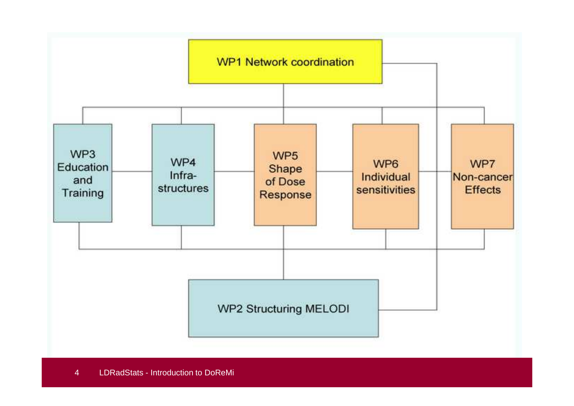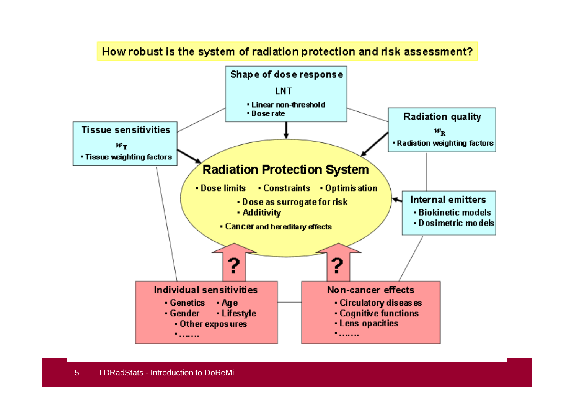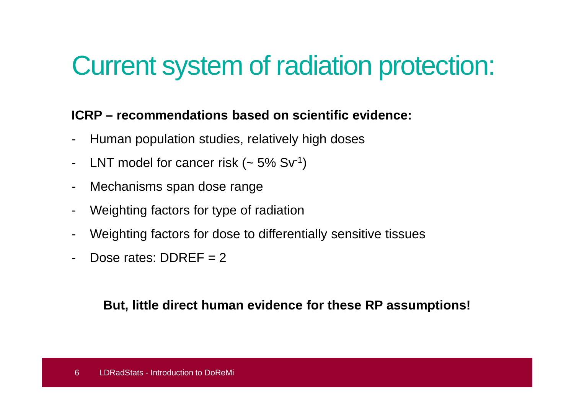# Current system of radiation protection:

#### **ICRP – recommendations based on scientific evidence:**

- -Human population studies, relatively high doses
- -LNT model for cancer risk  $(-5\% Sv^{-1})$
- -Mechanisms span dose range
- -Weighting factors for type of radiation
- -Weighting factors for dose to differentially sensitive tissues
- -Dose rates:  $DDRFF = 2$

**But, little direct human evidence for these RP assumptions!**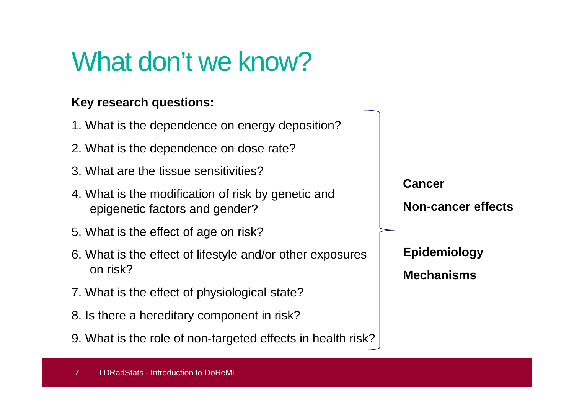# What don't we know?

#### **Key research questions:**

- 1. What is the dependence on energy deposition?
- 2. What is the dependence on dose rate?
- 3. What are the tissue sensitivities?
- 4. What is the modification of risk by genetic and epigenetic factors and gender?
- 5. What is the effect of age on risk?
- 6. What is the effect of lifestyle and/or other exposures on risk?
- 7. What is the effect of physiological state?
- 8. Is there a hereditary component in risk?
- 9. What is the role of non-targeted effects in health risk?

**Cancer Non-cancer effectsEpidemiology**

**Mechanisms**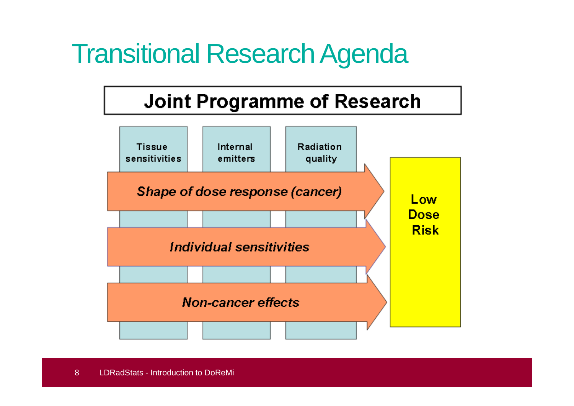# Transitional Research Agenda

### **Joint Programme of Research**

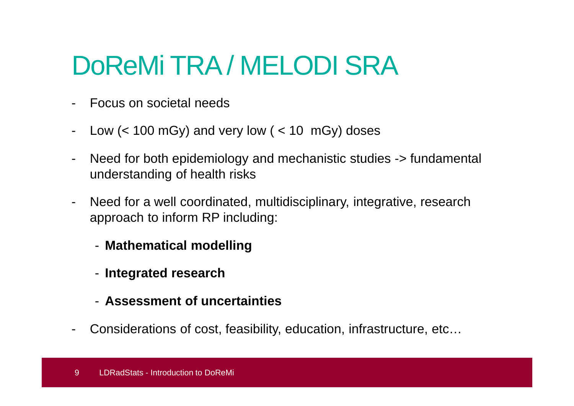# DoReMi TRA / MELODI SRA

- $\blacksquare$ Focus on societal needs
- -Low  $(< 100 \text{ mGy})$  and very low  $(< 10 \text{ mGy})$  doses
- - Need for both epidemiology and mechanistic studies -> fundamental understanding of health risks
- - Need for a well coordinated, multidisciplinary, integrative, research approach to inform RP including:
	- **Mathematical modelling**
	- **Integrated research**
	- **Assessment of uncertainties**
- -Considerations of cost, feasibility, education, infrastructure, etc…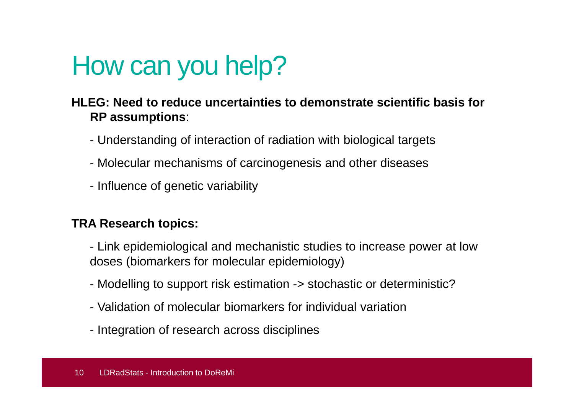# How can you help?

#### **HLEG: Need to reduce uncertainties to demonstrate scientific basis for RP assumptions**:

- Understanding of interaction of radiation with biological targets
- Molecular mechanisms of carcinogenesis and other diseases
- Influence of genetic variability

#### **TRA Research topics:**

- Link epidemiological and mechanistic studies to increase power at low doses (biomarkers for molecular epidemiology)
- Modelling to support risk estimation -> stochastic or deterministic?
- Validation of molecular biomarkers for individual variation
- Integration of research across disciplines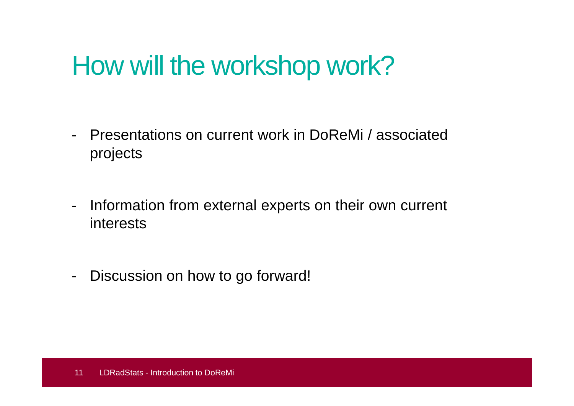## How will the workshop work?

- - Presentations on current work in DoReMi / associated projects
- - Information from external experts on their own current interests
- -Discussion on how to go forward!